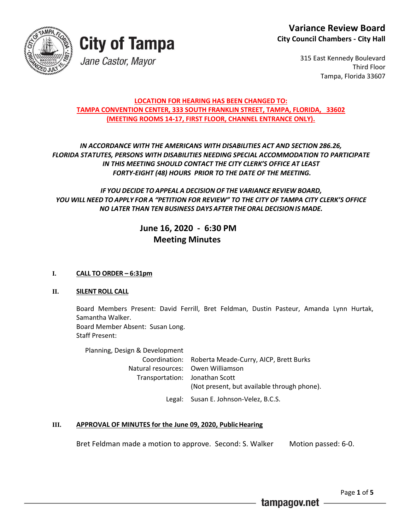

315 East Kennedy Boulevard Third Floor Tampa, Florida 33607

#### **LOCATION FOR HEARING HAS BEEN CHANGED TO: TAMPA CONVENTION CENTER, 333 SOUTH FRANKLIN STREET, TAMPA, FLORIDA, 33602 (MEETING ROOMS 14-17, FIRST FLOOR, CHANNEL ENTRANCE ONLY).**

#### *IN ACCORDANCE WITH THE AMERICANS WITH DISABILITIES ACT AND SECTION 286.26, FLORIDA STATUTES, PERSONS WITH DISABILITIES NEEDING SPECIAL ACCOMMODATION TO PARTICIPATE IN THIS MEETING SHOULD CONTACT THE CITY CLERK'S OFFICE AT LEAST FORTY-EIGHT (48) HOURS PRIOR TO THE DATE OF THE MEETING.*

#### *IF YOU DECIDE TOAPPEAL A DECISION OF THE VARIANCE REVIEW BOARD, YOU WILL NEED TO APPLY FOR A "PETITION FOR REVIEW" TO THE CITY OF TAMPA CITY CLERK'S OFFICE NO LATER THAN TEN BUSINESS DAYS AFTER THEORALDECISIONIS MADE.*

### **June 16, 2020 - 6:30 PM Meeting Minutes**

#### **I. CALL TO ORDER – 6:31pm**

#### **II. SILENT ROLL CALL**

Board Members Present: David Ferrill, Bret Feldman, Dustin Pasteur, Amanda Lynn Hurtak, Samantha Walker. Board Member Absent: Susan Long. Staff Present:

Planning, Design & Development Coordination: Roberta Meade-Curry, AICP, Brett Burks Natural resources: Owen Williamson Transportation: Jonathan Scott (Not present, but available through phone). Legal: Susan E. Johnson-Velez, B.C.S.

## **III. APPROVAL OF MINUTES for the June 09, 2020, PublicHearing**

Bret Feldman made a motion to approve. Second: S. Walker Motion passed: 6-0.

Page **1** of **5**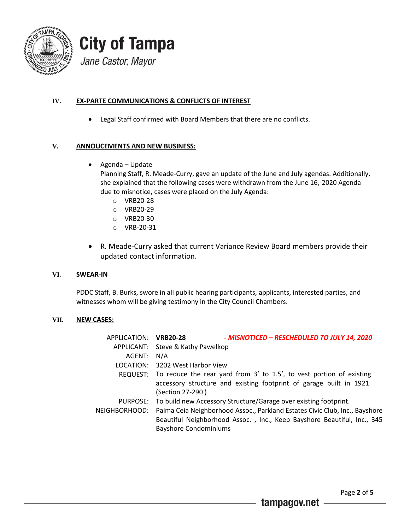

#### **IV. EX-PARTE COMMUNICATIONS & CONFLICTS OF INTEREST**

Legal Staff confirmed with Board Members that there are no conflicts.

#### **V. ANNOUCEMENTS AND NEW BUSINESS:**

Agenda – Update

Planning Staff, R. Meade-Curry, gave an update of the June and July agendas. Additionally, she explained that the following cases were withdrawn from the June 16, , 2020 Agenda due to misnotice, cases were placed on the July Agenda:

- o VRB20-28
- o VRB20-29
- o VRB20-30
- o VRB-20-31
- R. Meade-Curry asked that current Variance Review Board members provide their updated contact information.

#### **VI. SWEAR-IN**

PDDC Staff, B. Burks, swore in all public hearing participants, applicants, interested parties, and witnesses whom will be giving testimony in the City Council Chambers.

#### **VII. NEW CASES:**

| APPLICATION: VRB20-28 | - MISNOTICED - RESCHEDULED TO JULY 14, 2020                                   |
|-----------------------|-------------------------------------------------------------------------------|
|                       | APPLICANT: Steve & Kathy Pawelkop                                             |
| AGENT:                | N/A                                                                           |
|                       | LOCATION: 3202 West Harbor View                                               |
|                       | REQUEST: To reduce the rear yard from 3' to 1.5', to vest portion of existing |
|                       | accessory structure and existing footprint of garage built in 1921.           |
|                       | (Section 27-290)                                                              |
|                       | PURPOSE: To build new Accessory Structure/Garage over existing footprint.     |
| NEIGHBORHOOD:         | Palma Ceia Neighborhood Assoc., Parkland Estates Civic Club, Inc., Bayshore   |
|                       | Beautiful Neighborhood Assoc., Inc., Keep Bayshore Beautiful, Inc., 345       |
|                       | <b>Bayshore Condominiums</b>                                                  |
|                       |                                                                               |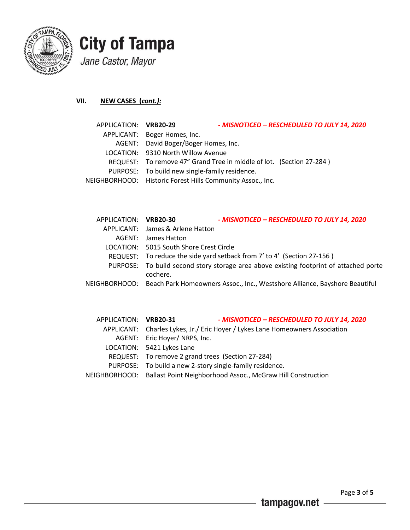

### **VII. NEW CASES (***cont.):*

| APPLICATION: VRB20-29 |                                                            | - MISNOTICED - RESCHEDULED TO JULY 14, 2020                          |
|-----------------------|------------------------------------------------------------|----------------------------------------------------------------------|
|                       | APPLICANT: Boger Homes, Inc.                               |                                                                      |
|                       | AGENT: David Boger/Boger Homes, Inc.                       |                                                                      |
|                       | LOCATION: 9310 North Willow Avenue                         |                                                                      |
|                       |                                                            | REQUEST: To remove 47" Grand Tree in middle of lot. (Section 27-284) |
|                       | PURPOSE: To build new single-family residence.             |                                                                      |
|                       | NEIGHBORHOOD: Historic Forest Hills Community Assoc., Inc. |                                                                      |
|                       |                                                            |                                                                      |

| APPLICATION: VRB20-30 |                                         | - MISNOTICED - RESCHEDULED TO JULY 14, 2020                                              |
|-----------------------|-----------------------------------------|------------------------------------------------------------------------------------------|
|                       | APPLICANT: James & Arlene Hatton        |                                                                                          |
|                       | AGENT: James Hatton                     |                                                                                          |
|                       | LOCATION: 5015 South Shore Crest Circle |                                                                                          |
|                       |                                         | REQUEST: To reduce the side yard setback from 7' to 4' (Section 27-156)                  |
|                       | cochere.                                | PURPOSE: To build second story storage area above existing footprint of attached porte   |
|                       |                                         | NEIGHBORHOOD: Beach Park Homeowners Assoc., Inc., Westshore Alliance, Bayshore Beautiful |

| APPLICATION: VRB20-31 | - MISNOTICED - RESCHEDULED TO JULY 14, 2020                                   |
|-----------------------|-------------------------------------------------------------------------------|
|                       | APPLICANT: Charles Lykes, Jr./ Eric Hoyer / Lykes Lane Homeowners Association |
|                       | AGENT: Eric Hoyer/ NRPS, Inc.                                                 |
|                       | LOCATION: 5421 Lykes Lane                                                     |
|                       | REQUEST: To remove 2 grand trees (Section 27-284)                             |
|                       | PURPOSE: To build a new 2-story single-family residence.                      |
|                       | NEIGHBORHOOD: Ballast Point Neighborhood Assoc., McGraw Hill Construction     |
|                       |                                                                               |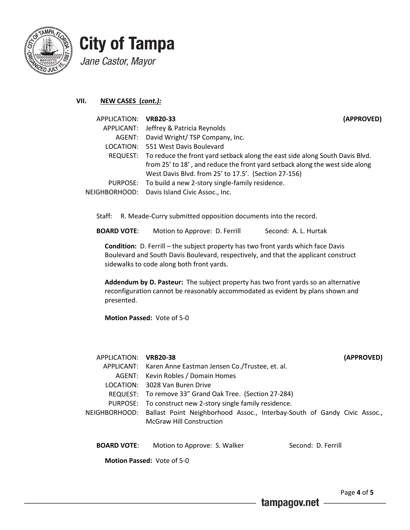

**VII. NEW CASES (***cont.):*

| APPLICATION: VRB20-33 | (APPROVED)                                                                            |  |
|-----------------------|---------------------------------------------------------------------------------------|--|
|                       | APPLICANT: Jeffrey & Patricia Reynolds                                                |  |
|                       | AGENT: David Wright/TSP Company, Inc.                                                 |  |
|                       | LOCATION: 551 West Davis Boulevard                                                    |  |
|                       | REQUEST: To reduce the front yard setback along the east side along South Davis Blvd. |  |
|                       | from 25' to 18', and reduce the front yard setback along the west side along          |  |
|                       | West Davis Blvd. from 25' to 17.5'. (Section 27-156)                                  |  |
|                       | PURPOSE: To build a new 2-story single-family residence.                              |  |
|                       | NEIGHBORHOOD: Davis Island Civic Assoc., Inc.                                         |  |

Staff: R. Meade-Curry submitted opposition documents into the record.

**BOARD VOTE:** Motion to Approve: D. Ferrill Second: A. L. Hurtak

**Condition:** D. Ferrill – the subject property has two front yards which face Davis Boulevard and South Davis Boulevard, respectively, and that the applicant construct sidewalks to code along both front yards.

**Addendum by D. Pasteur:** The subject property has two front yards so an alternative reconfiguration cannot be reasonably accommodated as evident by plans shown and presented.

**Motion Passed:** Vote of 5-0

| APPLICATION: VRB20-38             |                                                                                        | (APPROVED)         |
|-----------------------------------|----------------------------------------------------------------------------------------|--------------------|
|                                   | APPLICANT: Karen Anne Eastman Jensen Co./Trustee, et. al.                              |                    |
|                                   | AGENT: Kevin Robles / Domain Homes                                                     |                    |
|                                   | LOCATION: 3028 Van Buren Drive                                                         |                    |
|                                   | REQUEST: To remove 33" Grand Oak Tree. (Section 27-284)                                |                    |
|                                   | PURPOSE: To construct new 2-story single family residence.                             |                    |
|                                   | NEIGHBORHOOD: Ballast Point Neighborhood Assoc., Interbay-South of Gandy Civic Assoc., |                    |
|                                   | McGraw Hill Construction                                                               |                    |
|                                   |                                                                                        |                    |
| <b>BOARD VOTE:</b>                | Motion to Approve: S. Walker                                                           | Second: D. Ferrill |
| <b>Motion Passed: Vote of 5-0</b> |                                                                                        |                    |

Page **4** of **5**